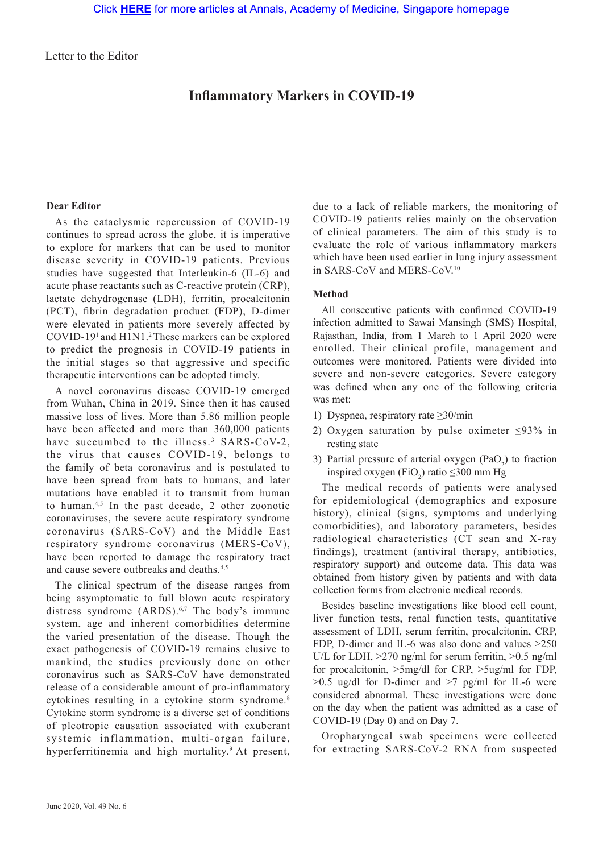Letter to the Editor

# **Inflammatory Markers in COVID-19**

#### **Dear Editor**

As the cataclysmic repercussion of COVID-19 continues to spread across the globe, it is imperative to explore for markers that can be used to monitor disease severity in COVID-19 patients. Previous studies have suggested that Interleukin-6 (IL-6) and acute phase reactants such as C-reactive protein (CRP), lactate dehydrogenase (LDH), ferritin, procalcitonin (PCT), fibrin degradation product (FDP), D-dimer were elevated in patients more severely affected by COVID-191 and H1N1.2 These markers can be explored to predict the prognosis in COVID-19 patients in the initial stages so that aggressive and specific therapeutic interventions can be adopted timely.

A novel coronavirus disease COVID-19 emerged from Wuhan, China in 2019. Since then it has caused massive loss of lives. More than 5.86 million people have been affected and more than 360,000 patients have succumbed to the illness.<sup>3</sup> SARS-CoV-2, the virus that causes COVID-19, belongs to the family of beta coronavirus and is postulated to have been spread from bats to humans, and later mutations have enabled it to transmit from human to human.<sup>4,5</sup> In the past decade, 2 other zoonotic coronaviruses, the severe acute respiratory syndrome coronavirus (SARS-CoV) and the Middle East respiratory syndrome coronavirus (MERS-CoV), have been reported to damage the respiratory tract and cause severe outbreaks and deaths<sup>4,5</sup>

The clinical spectrum of the disease ranges from being asymptomatic to full blown acute respiratory distress syndrome (ARDS).<sup>6,7</sup> The body's immune system, age and inherent comorbidities determine the varied presentation of the disease. Though the exact pathogenesis of COVID-19 remains elusive to mankind, the studies previously done on other coronavirus such as SARS-CoV have demonstrated release of a considerable amount of pro-inflammatory cytokines resulting in a cytokine storm syndrome.<sup>8</sup> Cytokine storm syndrome is a diverse set of conditions of pleotropic causation associated with exuberant systemic inflammation, multi-organ failure, hyperferritinemia and high mortality.<sup>9</sup> At present, due to a lack of reliable markers, the monitoring of COVID-19 patients relies mainly on the observation of clinical parameters. The aim of this study is to evaluate the role of various inflammatory markers which have been used earlier in lung injury assessment in SARS-CoV and MERS-CoV.10

### **Method**

All consecutive patients with confirmed COVID-19 infection admitted to Sawai Mansingh (SMS) Hospital, Rajasthan, India, from 1 March to 1 April 2020 were enrolled. Their clinical profile, management and outcomes were monitored. Patients were divided into severe and non-severe categories. Severe category was defined when any one of the following criteria was met:

- 1) Dyspnea, respiratory rate ≥30/min
- 2) Oxygen saturation by pulse oximeter ≤93% in resting state
- 3) Partial pressure of arterial oxygen  $(PaO<sub>2</sub>)$  to fraction inspired oxygen (FiO<sub>2</sub>) ratio  $\leq$ 300 mm Hg

The medical records of patients were analysed for epidemiological (demographics and exposure history), clinical (signs, symptoms and underlying comorbidities), and laboratory parameters, besides radiological characteristics (CT scan and X-ray findings), treatment (antiviral therapy, antibiotics, respiratory support) and outcome data. This data was obtained from history given by patients and with data collection forms from electronic medical records.

Besides baseline investigations like blood cell count, liver function tests, renal function tests, quantitative assessment of LDH, serum ferritin, procalcitonin, CRP, FDP, D-dimer and IL-6 was also done and values >250 U/L for LDH, >270 ng/ml for serum ferritin, >0.5 ng/ml for procalcitonin, >5mg/dl for CRP, >5ug/ml for FDP,  $>0.5$  ug/dl for D-dimer and  $>7$  pg/ml for IL-6 were considered abnormal. These investigations were done on the day when the patient was admitted as a case of COVID-19 (Day 0) and on Day 7.

Oropharyngeal swab specimens were collected for extracting SARS-CoV-2 RNA from suspected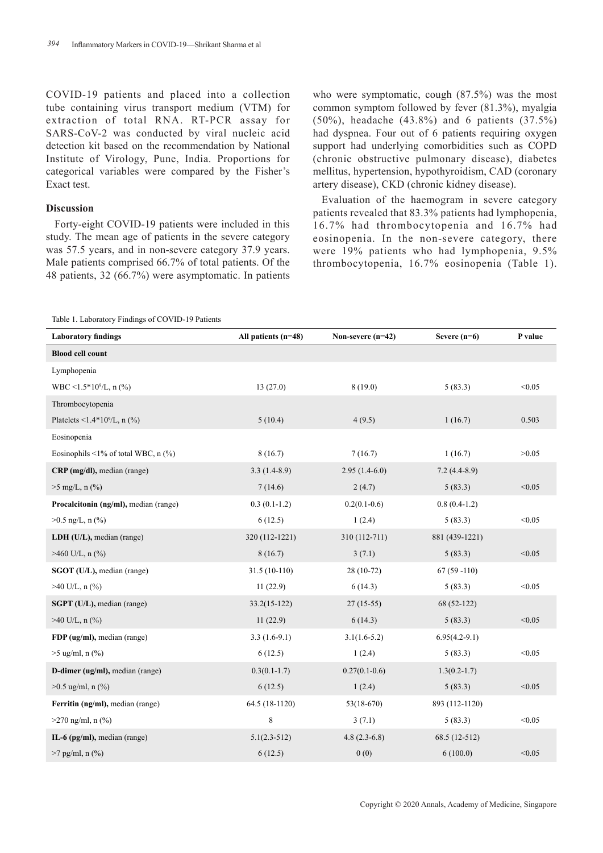COVID-19 patients and placed into a collection tube containing virus transport medium (VTM) for extraction of total RNA. RT-PCR assay for SARS-CoV-2 was conducted by viral nucleic acid detection kit based on the recommendation by National Institute of Virology, Pune, India. Proportions for categorical variables were compared by the Fisher's Exact test.

#### **Discussion**

Forty-eight COVID-19 patients were included in this study. The mean age of patients in the severe category was 57.5 years, and in non-severe category 37.9 years. Male patients comprised 66.7% of total patients. Of the 48 patients, 32 (66.7%) were asymptomatic. In patients

who were symptomatic, cough (87.5%) was the most common symptom followed by fever (81.3%), myalgia (50%), headache (43.8%) and 6 patients (37.5%) had dyspnea. Four out of 6 patients requiring oxygen support had underlying comorbidities such as COPD (chronic obstructive pulmonary disease), diabetes mellitus, hypertension, hypothyroidism, CAD (coronary artery disease), CKD (chronic kidney disease).

Evaluation of the haemogram in severe category patients revealed that 83.3% patients had lymphopenia, 16.7% had thrombocytopenia and 16.7% had eosinopenia. In the non-severe category, there were 19% patients who had lymphopenia, 9.5% thrombocytopenia, 16.7% eosinopenia (Table 1).

```
Table 1. Laboratory Findings of COVID-19 Patients
```

| <b>Laboratory findings</b>                          | All patients (n=48) | Non-severe (n=42) | Severe $(n=6)$   | P value |
|-----------------------------------------------------|---------------------|-------------------|------------------|---------|
| <b>Blood cell count</b>                             |                     |                   |                  |         |
| Lymphopenia                                         |                     |                   |                  |         |
| WBC <1.5*10%, n $(\% )$                             | 13(27.0)            | 8(19.0)           | 5(83.3)          | < 0.05  |
| Thrombocytopenia                                    |                     |                   |                  |         |
| Platelets <1.4*10 $^9$ /L, n $(^{9}$ <sub>0</sub> ) | 5(10.4)             | 4(9.5)            | 1(16.7)          | 0.503   |
| Eosinopenia                                         |                     |                   |                  |         |
| Eosinophils <1% of total WBC, $n$ (%)               | 8(16.7)             | 7(16.7)           | 1(16.7)          | >0.05   |
| $CRP$ (mg/dl), median (range)                       | $3.3(1.4-8.9)$      | $2.95(1.4-6.0)$   | $7.2(4.4-8.9)$   |         |
| $>5$ mg/L, n $(\% )$                                | 7(14.6)             | 2(4.7)            | 5(83.3)          | < 0.05  |
| Procalcitonin (ng/ml), median (range)               | $0.3(0.1-1.2)$      | $0.2(0.1-0.6)$    | $0.8(0.4-1.2)$   |         |
| $>0.5$ ng/L, n $(\%$ )                              | 6(12.5)             | 1(2.4)            | 5(83.3)          | < 0.05  |
| LDH (U/L), median (range)                           | 320 (112-1221)      | 310 (112-711)     | 881 (439-1221)   |         |
| $>460$ U/L, n $(\%$ )                               | 8(16.7)             | 3(7.1)            | 5(83.3)          | < 0.05  |
| SGOT (U/L), median (range)                          | $31.5(10-110)$      | 28 (10-72)        | $67(59-110)$     |         |
| $>40$ U/L, n $(\%$ )                                | 11(22.9)            | 6(14.3)           | 5(83.3)          | < 0.05  |
| <b>SGPT</b> (U/L), median (range)                   | $33.2(15-122)$      | $27(15-55)$       | 68 (52-122)      |         |
| $>40$ U/L, n $(\% )$                                | 11(22.9)            | 6(14.3)           | 5(83.3)          | < 0.05  |
| FDP (ug/ml), median (range)                         | $3.3(1.6-9.1)$      | $3.1(1.6-5.2)$    | $6.95(4.2-9.1)$  |         |
| $>5$ ug/ml, n $(\% )$                               | 6(12.5)             | 1(2.4)            | 5(83.3)          | < 0.05  |
| D-dimer (ug/ml), median (range)                     | $0.3(0.1-1.7)$      | $0.27(0.1-0.6)$   | $1.3(0.2 - 1.7)$ |         |
| $>0.5$ ug/ml, n (%)                                 | 6(12.5)             | 1(2.4)            | 5(83.3)          | < 0.05  |
| Ferritin (ng/ml), median (range)                    | 64.5 (18-1120)      | $53(18-670)$      | 893 (112-1120)   |         |
| $>270$ ng/ml, n $(\% )$                             | 8                   | 3(7.1)            | 5(83.3)          | < 0.05  |
| IL-6 (pg/ml), median (range)                        | $5.1(2.3-512)$      | $4.8(2.3-6.8)$    | 68.5 (12-512)    |         |
| $>7$ pg/ml, n $(\% )$                               | 6(12.5)             | 0(0)              | 6(100.0)         | < 0.05  |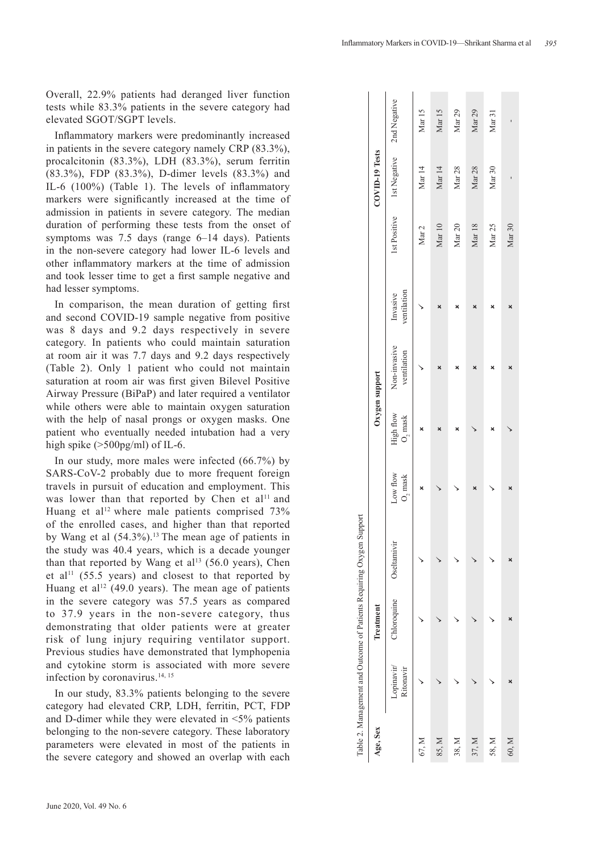Overall, 22.9% patients had deranged liver function tests while 83.3% patients in the severe category had elevated SGOT/SGPT levels.

Inflammatory markers were predominantly increased in patients in the severe category namely CRP (83.3%), procalcitonin (83.3%), LDH (83.3%), serum ferritin (83.3%), FDP (83.3%), D-dimer levels (83.3%) and IL-6 (100%) (Table 1). The levels of inflammatory markers were significantly increased at the time of admission in patients in severe category. The median duration of performing these tests from the onset of symptoms was 7.5 days (range 6–14 days). Patients in the non-severe category had lower IL-6 levels and other inflammatory markers at the time of admission and took lesser time to get a first sample negative and had lesser symptoms.

In comparison, the mean duration of getting first and second COVID-19 sample negative from positive was 8 days and 9.2 days respectively in severe category. In patients who could maintain saturation at room air it was 7.7 days and 9.2 days respectively (Table 2). Only 1 patient who could not maintain saturation at room air was first given Bilevel Positive Airway Pressure (BiPaP) and later required a ventilator while others were able to maintain oxygen saturation with the help of nasal prongs or oxygen masks. One patient who eventually needed intubation had a very high spike ( $>500$ pg/ml) of IL-6.

In our study, more males were infected (66.7%) by SARS-CoV-2 probably due to more frequent foreign travels in pursuit of education and employment. This was lower than that reported by Chen et al<sup>11</sup> and Huang et al<sup>12</sup> where male patients comprised  $73\%$ of the enrolled cases, and higher than that reported by Wang et al  $(54.3\%)$ .<sup>13</sup> The mean age of patients in the study was 40.4 years, which is a decade younger than that reported by Wang et al<sup>13</sup> (56.0 years). Chen et al<sup>11</sup> (55.5 years) and closest to that reported by Huang et al<sup>12</sup> (49.0 years). The mean age of patients in the severe category was 57.5 years as compared to 37.9 years in the non-severe category, thus demonstrating that older patients were at greater risk of lung injury requiring ventilator support. Previous studies have demonstrated that lymphopenia and cytokine storm is associated with more severe infection by coronavirus.<sup>14, 15</sup>

In our study, 83.3% patients belonging to the severe category had elevated CRP, LDH, ferritin, PCT, FDP and D-dimer while they were elevated in  $\leq 5\%$  patients belonging to the non-severe category. These laboratory parameters were elevated in most of the patients in the severe category and showed an overlap with each

|          |                         |             | Table 2. Management and Outcome of Patients Requiring Oxygen Support |                   |                      |                             |                         |                   |                   |                   |
|----------|-------------------------|-------------|----------------------------------------------------------------------|-------------------|----------------------|-----------------------------|-------------------------|-------------------|-------------------|-------------------|
| Age, Sex |                         | Treatment   |                                                                      |                   | Oxygen support       |                             |                         |                   | COVID-19 Tests    |                   |
|          | Lopinavir/<br>Ritonavir | Chloroquine | Oseltamivir                                                          | Low flow $0$ mask | High flow $O_2$ mask | Non-invasive<br>ventilation | ventilation<br>Invasive | 1st Positive      | 1st Negative      | 2nd Negative      |
| 67, M    |                         |             |                                                                      |                   |                      |                             |                         | Mar $2$           | Mar $14$          | $\rm{Mar}$ 15     |
| 85, M    |                         |             |                                                                      |                   |                      |                             |                         | $\rm{Mar}$ 10     | $\rm{Mar}$ 14     | $\rm{Mar}$ 15     |
| 38, M    |                         |             |                                                                      |                   | ×                    | ×                           | ×                       | Mar <sub>20</sub> | Mar $28$          | Mar <sub>29</sub> |
| 37, M    |                         |             |                                                                      |                   |                      |                             |                         | Mar <sub>18</sub> | Mar <sub>28</sub> | Mar <sub>29</sub> |
| 58, M    |                         |             |                                                                      |                   |                      |                             |                         | Mar <sub>25</sub> | Mar <sub>30</sub> | Mar 31            |
| 60, M    |                         |             |                                                                      |                   |                      |                             | ×                       | Mar <sub>30</sub> |                   |                   |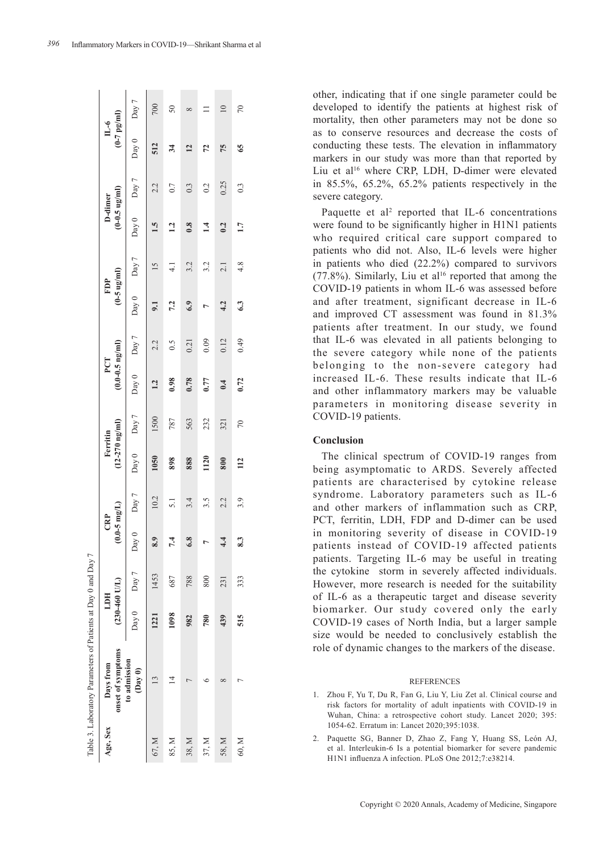| 396 |  |  |  | Inflammatory Markers in COVID-19-Shrikant Sharma et al |  |
|-----|--|--|--|--------------------------------------------------------|--|
|-----|--|--|--|--------------------------------------------------------|--|

able 3. Laboratory Parameters of Patients at Day 0 and Day 7 Table 3. Laboratory Parameters of Patients at Day 0 and Day 7

| Age, Sex | onset of symptoms<br>Days from    | $(230-460$ U/L)<br><b>HITT</b> |                   | $(0.0 - 5 \, \text{mg/L})$<br>CRP |                 | $(12 - 270)$ ng/ml)<br>Ferritin |       | $(0.0-0.5 \text{ ng/ml})$<br>PCT |       | $(0 - 5 \text{ ug/ml})$<br>FDP |       | $(0-0.5 \text{ ug/ml})$<br>D-dimer |                | $(0 - 7)$ pg/ml)<br>$\mathbb{L}$ -6 |                 |
|----------|-----------------------------------|--------------------------------|-------------------|-----------------------------------|-----------------|---------------------------------|-------|----------------------------------|-------|--------------------------------|-------|------------------------------------|----------------|-------------------------------------|-----------------|
|          | to admission<br>$(\text{Day } 0)$ |                                | Day 0 Day 7 Day 0 |                                   | Day 7           | Day 0                           | Day 7 | Day 0                            | Day 7 | Day 0                          | Day 7 |                                    | Day 0 Day 7    | Day 0                               | Day 7           |
| 67, M    | 13                                | 1221                           | 1453              | 8.9                               | 10.2            | 1050                            | 1500  | 1.2                              | 2.2   | 51                             |       | 1.5                                | 2.2            | 512                                 | 700             |
| 85, M    |                                   | 1098                           | 687               | 7.4                               | $\overline{51}$ | 898                             | 787   | 0.98                             | 0.5   | 7.2                            |       | 2                                  | 0.7            | 34                                  | 50              |
| 38, M    |                                   | 982                            | 788               | 6.8                               | 3.4             | 888                             | 563   | 0.78                             | 0.21  | 6.9                            | 3.2   | 0.8                                | 0.3            | 12                                  | $\infty$        |
| 37, M    |                                   | 780                            | 800               | Ļ                                 | 3.5             | 1120                            | 232   | 0.77                             | 0.09  |                                | 3.2   | $\overline{14}$                    | 0.2            | 72                                  |                 |
| 58, M    |                                   | 439                            | 231               | $\ddot{ }$                        | 2.2             | 800                             | 321   | 0.4                              | 0.12  | 4.2                            | 2.1   | 0.2                                | 0.25           | 75                                  | $\overline{10}$ |
| 60, M    |                                   | 515                            | 333               | 8.3                               | 3.9             | 112                             | 70    | 0.72                             | 0.49  | 63                             | 4.8   | 1.7                                | $\overline{0}$ | 65                                  | 70              |

other, indicating that if one single parameter could be developed to identify the patients at highest risk of mortality, then other parameters may not be done so as to conserve resources and decrease the costs of conducting these tests. The elevation in inflammatory markers in our study was more than that reported by Liu et al<sup>16</sup> where CRP, LDH, D-dimer were elevated in 85.5%, 65.2%, 65.2% patients respectively in the severe category.

Paquette et al<sup>2</sup> reported that IL-6 concentrations were found to be significantly higher in H1N1 patients who required critical care support compared to patients who did not. Also, IL-6 levels were higher in patients who died (22.2%) compared to survivors  $(77.8\%)$ . Similarly, Liu et al<sup>16</sup> reported that among the COVID-19 patients in whom IL-6 was assessed before and after treatment, significant decrease in IL-6 and improved CT assessment was found in 81.3% patients after treatment. In our study, we found that IL-6 was elevated in all patients belonging to the severe category while none of the patients belonging to the non-severe category had increased IL-6. These results indicate that IL-6 and other inflammatory markers may be valuable parameters in monitoring disease severity in COVID-19 patients.

## **Conclusion**

The clinical spectrum of COVID-19 ranges from being asymptomatic to ARDS. Severely affected patients are characterised by cytokine release syndrome. Laboratory parameters such as IL-6 and other markers of inflammation such as CRP, PCT, ferritin, LDH, FDP and D-dimer can be used in monitoring severity of disease in COVID-19 patients instead of COVID-19 affected patients patients. Targeting IL-6 may be useful in treating the cytokine storm in severely affected individuals. However, more research is needed for the suitability of IL-6 as a therapeutic target and disease severity biomarker. Our study covered only the early COVID-19 cases of North India, but a larger sample size would be needed to conclusively establish the role of dynamic changes to the markers of the disease.

#### **REFERENCES**

- 1. Zhou F, Yu T, Du R, Fan G, Liu Y, Liu Zet al. Clinical course and risk factors for mortality of adult inpatients with COVID-19 in Wuhan, China: a retrospective cohort study. Lancet 2020; 395: 1054-62. Erratum in: Lancet 2020;395:1038.
- 2. Paquette SG, Banner D, Zhao Z, Fang Y, Huang SS, Leόn AJ, et al. Interleukin-6 Is a potential biomarker for severe pandemic H1N1 influenza A infection. PLoS One 2012;7:e38214.